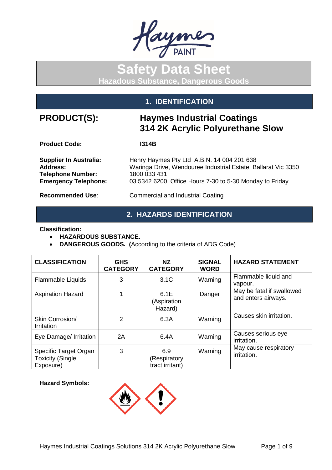

# **Safety Data Sheet Hazadous Substance, Dangerous Goods**

# **1. IDENTIFICATION**

# **PRODUCT(S): Haymes Industrial Coatings 314 2K Acrylic Polyurethane Slow**

**Product Code: I314B**

**Telephone Number:<br>Emergency Telephone:** 

**Supplier In Australia:** Henry Haymes Pty Ltd A.B.N. 14 004 201 638<br>Maringa Drive, Wendouree Industrial Estate, Ba Waringa Drive, Wendouree Industrial Estate, Ballarat Vic 3350<br>1800 033 431 **Emergency Telephone:** 03 5342 6200 Office Hours 7-30 to 5-30 Monday to Friday

**Recommended Use:** Commercial and Industrial Coating

# **2. HAZARDS IDENTIFICATION**

#### **Classification:**

- **HAZARDOUS SUBSTANCE.**
- **DANGEROUS GOODS. (**According to the criteria of ADG Code)

| <b>CLASSIFICATION</b>                                         | <b>GHS</b><br><b>CATEGORY</b> | NZ.<br><b>CATEGORY</b>                 | <b>SIGNAL</b><br><b>WORD</b> | <b>HAZARD STATEMENT</b>                          |
|---------------------------------------------------------------|-------------------------------|----------------------------------------|------------------------------|--------------------------------------------------|
| Flammable Liquids                                             | 3                             | 3.1C                                   | Warning                      | Flammable liquid and<br>vapour.                  |
| <b>Aspiration Hazard</b>                                      |                               | 6.1E<br>(Aspiration<br>Hazard)         | Danger                       | May be fatal if swallowed<br>and enters airways. |
| Skin Corrosion/<br>Irritation                                 | 2                             | 6.3A                                   | Warning                      | Causes skin irritation.                          |
| Eye Damage/ Irritation                                        | 2A                            | 6.4A                                   | Warning                      | Causes serious eye<br>irritation.                |
| Specific Target Organ<br><b>Toxicity (Single</b><br>Exposure) | 3                             | 6.9<br>(Respiratory<br>tract irritant) | Warning                      | May cause respiratory<br>irritation.             |

#### **Hazard Symbols:**

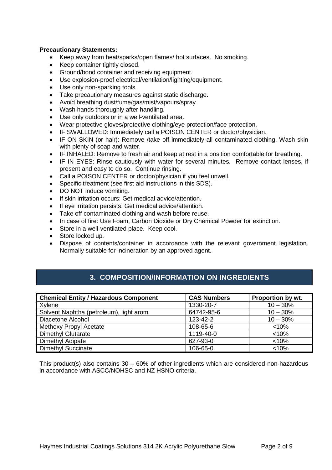#### **Precautionary Statements:**

- Keep away from heat/sparks/open flames/ hot surfaces. No smoking.
- Keep container tightly closed.
- Ground/bond container and receiving equipment.
- Use explosion-proof electrical/ventilation/lighting/equipment.
- Use only non-sparking tools.
- Take precautionary measures against static discharge.
- Avoid breathing dust/fume/gas/mist/vapours/spray.
- Wash hands thoroughly after handling.
- Use only outdoors or in a well-ventilated area.
- Wear protective gloves/protective clothing/eye protection/face protection.
- IF SWALLOWED: Immediately call a POISON CENTER or doctor/physician.
- IF ON SKIN (or hair): Remove /take off immediately all contaminated clothing. Wash skin with plenty of soap and water.
- IF INHALED: Remove to fresh air and keep at rest in a position comfortable for breathing.
- IF IN EYES: Rinse cautiously with water for several minutes. Remove contact lenses, if present and easy to do so. Continue rinsing.
- Call a POISON CENTER or doctor/physician if you feel unwell.
- Specific treatment (see first aid instructions in this SDS).
- DO NOT induce vomiting.
- If skin irritation occurs: Get medical advice/attention.
- If eye irritation persists: Get medical advice/attention.
- Take off contaminated clothing and wash before reuse.
- In case of fire: Use Foam, Carbon Dioxide or Dry Chemical Powder for extinction.
- Store in a well-ventilated place. Keep cool.
- Store locked up.
- Dispose of contents/container in accordance with the relevant government legislation. Normally suitable for incineration by an approved agent.

#### **3. COMPOSITION/INFORMATION ON INGREDIENTS**

| <b>Chemical Entity / Hazardous Component</b> | <b>CAS Numbers</b> | Proportion by wt. |
|----------------------------------------------|--------------------|-------------------|
| Xylene                                       | 1330-20-7          | $10 - 30%$        |
| Solvent Naphtha (petroleum), light arom.     | 64742-95-6         | $10 - 30%$        |
| Diacetone Alcohol                            | 123-42-2           | $10 - 30%$        |
| <b>Methoxy Propyl Acetate</b>                | 108-65-6           | < 10%             |
| <b>Dimethyl Glutarate</b>                    | 1119-40-0          | < 10%             |
| Dimethyl Adipate                             | 627-93-0           | < 10%             |
| <b>Dimethyl Succinate</b>                    | 106-65-0           | < 10%             |

This product(s) also contains  $30 - 60\%$  of other ingredients which are considered non-hazardous in accordance with ASCC/NOHSC and NZ HSNO criteria.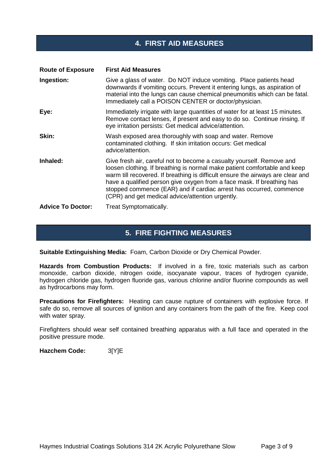#### **4. FIRST AID MEASURES**

| <b>Route of Exposure</b> | <b>First Aid Measures</b>                                                                                                                                                                                                                                                                                                                                                                                                                  |
|--------------------------|--------------------------------------------------------------------------------------------------------------------------------------------------------------------------------------------------------------------------------------------------------------------------------------------------------------------------------------------------------------------------------------------------------------------------------------------|
| Ingestion:               | Give a glass of water. Do NOT induce vomiting. Place patients head<br>downwards if vomiting occurs. Prevent it entering lungs, as aspiration of<br>material into the lungs can cause chemical pneumonitis which can be fatal.<br>Immediately call a POISON CENTER or doctor/physician.                                                                                                                                                     |
| Eye:                     | Immediately irrigate with large quantities of water for at least 15 minutes.<br>Remove contact lenses, if present and easy to do so. Continue rinsing. If<br>eye irritation persists: Get medical advice/attention.                                                                                                                                                                                                                        |
| Skin:                    | Wash exposed area thoroughly with soap and water. Remove<br>contaminated clothing. If skin irritation occurs: Get medical<br>advice/attention.                                                                                                                                                                                                                                                                                             |
| Inhaled:                 | Give fresh air, careful not to become a casualty yourself. Remove and<br>loosen clothing. If breathing is normal make patient comfortable and keep<br>warm till recovered. If breathing is difficult ensure the airways are clear and<br>have a qualified person give oxygen from a face mask. If breathing has<br>stopped commence (EAR) and if cardiac arrest has occurred, commence<br>(CPR) and get medical advice/attention urgently. |
| <b>Advice To Doctor:</b> | Treat Symptomatically.                                                                                                                                                                                                                                                                                                                                                                                                                     |

#### **5. FIRE FIGHTING MEASURES**

**Suitable Extinguishing Media:** Foam, Carbon Dioxide or Dry Chemical Powder.

**Hazards from Combustion Products:** If involved in a fire, toxic materials such as carbon monoxide, carbon dioxide, nitrogen oxide, isocyanate vapour, traces of hydrogen cyanide, hydrogen chloride gas, hydrogen fluoride gas, various chlorine and/or fluorine compounds as well as hydrocarbons may form.

**Precautions for Firefighters:** Heating can cause rupture of containers with explosive force. If safe do so, remove all sources of ignition and any containers from the path of the fire. Keep cool with water spray.

Firefighters should wear self contained breathing apparatus with a full face and operated in the positive pressure mode.

**Hazchem Code:** 3[Y]E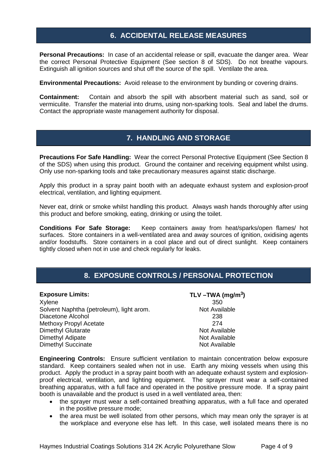#### **6. ACCIDENTAL RELEASE MEASURES**

**Personal Precautions:** In case of an accidental release or spill, evacuate the danger area. Wear the correct Personal Protective Equipment (See section 8 of SDS). Do not breathe vapours. Extinguish all ignition sources and shut off the source of the spill. Ventilate the area.

**Environmental Precautions:** Avoid release to the environment by bunding or covering drains.

**Containment:** Contain and absorb the spill with absorbent material such as sand, soil or vermiculite. Transfer the material into drums, using non-sparking tools. Seal and label the drums. Contact the appropriate waste management authority for disposal.

### **7. HANDLING AND STORAGE**

**Precautions For Safe Handling:** Wear the correct Personal Protective Equipment (See Section 8 of the SDS) when using this product. Ground the container and receiving equipment whilst using. Only use non-sparking tools and take precautionary measures against static discharge.

Apply this product in a spray paint booth with an adequate exhaust system and explosion-proof electrical, ventilation, and lighting equipment.

Never eat, drink or smoke whilst handling this product. Always wash hands thoroughly after using this product and before smoking, eating, drinking or using the toilet.

**Conditions For Safe Storage:** Keep containers away from heat/sparks/open flames/ hot surfaces. Store containers in a well-ventilated area and away sources of ignition, oxidising agents and/or foodstuffs. Store containers in a cool place and out of direct sunlight. Keep containers tightly closed when not in use and check regularly for leaks.

#### **8. EXPOSURE CONTROLS / PERSONAL PROTECTION**

| <b>Exposure Limits:</b>                  | TLV-TWA (mg/m <sup>3</sup> ) |
|------------------------------------------|------------------------------|
| Xylene                                   | 350                          |
| Solvent Naphtha (petroleum), light arom. | Not Available                |
| Diacetone Alcohol                        | 238                          |
| Methoxy Propyl Acetate                   | 274                          |
| <b>Dimethyl Glutarate</b>                | Not Available                |
| Dimethyl Adipate                         | Not Available                |
| <b>Dimethyl Succinate</b>                | Not Available                |

**Engineering Controls:** Ensure sufficient ventilation to maintain concentration below exposure standard. Keep containers sealed when not in use. Earth any mixing vessels when using this product. Apply the product in a spray paint booth with an adequate exhaust system and explosionproof electrical, ventilation, and lighting equipment. The sprayer must wear a self-contained breathing apparatus, with a full face and operated in the positive pressure mode. If a spray paint booth is unavailable and the product is used in a well ventilated area, then:

- the sprayer must wear a self-contained breathing apparatus, with a full face and operated in the positive pressure mode;
- the area must be well isolated from other persons, which may mean only the sprayer is at the workplace and everyone else has left. In this case, well isolated means there is no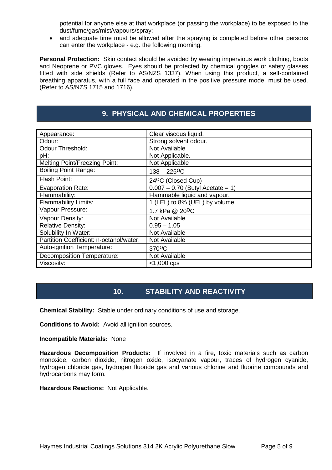potential for anyone else at that workplace (or passing the workplace) to be exposed to the dust/fume/gas/mist/vapours/spray;

• and adequate time must be allowed after the spraying is completed before other persons can enter the workplace - e.g. the following morning.

**Personal Protection:** Skin contact should be avoided by wearing impervious work clothing, boots and Neoprene or PVC gloves. Eyes should be protected by chemical goggles or safety glasses fitted with side shields (Refer to AS/NZS 1337). When using this product, a self-contained breathing apparatus, with a full face and operated in the positive pressure mode, must be used. (Refer to AS/NZS 1715 and 1716).

### **9. PHYSICAL AND CHEMICAL PROPERTIES**

| Appearance:                             | Clear viscous liquid.              |
|-----------------------------------------|------------------------------------|
| Odour:                                  | Strong solvent odour.              |
| <b>Odour Threshold:</b>                 | Not Available                      |
| pH:                                     | Not Applicable.                    |
| <b>Melting Point/Freezing Point:</b>    | Not Applicable                     |
| <b>Boiling Point Range:</b>             | $138 - 225$ <sup>O</sup> C         |
| Flash Point:                            | 24 <sup>O</sup> C (Closed Cup)     |
| <b>Evaporation Rate:</b>                | $0.007 - 0.70$ (Butyl Acetate = 1) |
| Flammability:                           | Flammable liquid and vapour.       |
| <b>Flammability Limits:</b>             | 1 (LEL) to 8% (UEL) by volume      |
| Vapour Pressure:                        | 1.7 kPa @ 20 <sup>o</sup> C        |
| Vapour Density:                         | Not Available                      |
| <b>Relative Density:</b>                | $0.95 - 1.05$                      |
| Solubility In Water:                    | Not Available                      |
| Partition Coefficient: n-octanol/water: | Not Available                      |
| Auto-ignition Temperature:              | 370 <sup>o</sup> C                 |
| <b>Decomposition Temperature:</b>       | Not Available                      |
| Viscosity:                              | $<$ 1,000 cps                      |

## **10. STABILITY AND REACTIVITY**

**Chemical Stability:** Stable under ordinary conditions of use and storage.

**Conditions to Avoid:** Avoid all ignition sources.

**Incompatible Materials:** None

**Hazardous Decomposition Products:** If involved in a fire, toxic materials such as carbon monoxide, carbon dioxide, nitrogen oxide, isocyanate vapour, traces of hydrogen cyanide, hydrogen chloride gas, hydrogen fluoride gas and various chlorine and fluorine compounds and hydrocarbons may form.

**Hazardous Reactions:** Not Applicable.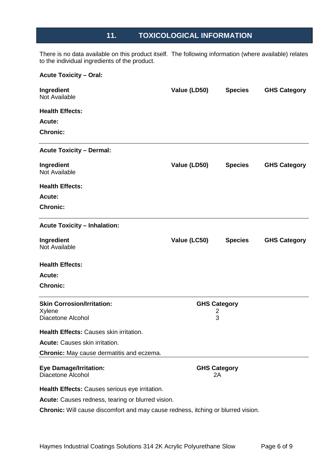## **11. TOXICOLOGICAL INFORMATION**

There is no data available on this product itself. The following information (where available) relates to the individual ingredients of the product.

| <b>Acute Toxicity - Oral:</b>                                                           |              |                           |                     |
|-----------------------------------------------------------------------------------------|--------------|---------------------------|---------------------|
| Ingredient<br>Not Available                                                             | Value (LD50) | <b>Species</b>            | <b>GHS Category</b> |
| <b>Health Effects:</b>                                                                  |              |                           |                     |
| Acute:                                                                                  |              |                           |                     |
| <b>Chronic:</b>                                                                         |              |                           |                     |
| <b>Acute Toxicity - Dermal:</b>                                                         |              |                           |                     |
| Ingredient<br>Not Available                                                             | Value (LD50) | <b>Species</b>            | <b>GHS Category</b> |
| <b>Health Effects:</b>                                                                  |              |                           |                     |
| Acute:                                                                                  |              |                           |                     |
| <b>Chronic:</b>                                                                         |              |                           |                     |
| <b>Acute Toxicity - Inhalation:</b>                                                     |              |                           |                     |
| Ingredient<br>Not Available                                                             | Value (LC50) | <b>Species</b>            | <b>GHS Category</b> |
| <b>Health Effects:</b>                                                                  |              |                           |                     |
| Acute:                                                                                  |              |                           |                     |
| <b>Chronic:</b>                                                                         |              |                           |                     |
| <b>Skin Corrosion/Irritation:</b>                                                       |              | <b>GHS Category</b>       |                     |
| Xylene<br>Diacetone Alcohol                                                             |              | 2<br>3                    |                     |
| Health Effects: Causes skin irritation.                                                 |              |                           |                     |
| <b>Acute:</b> Causes skin irritation.                                                   |              |                           |                     |
| <b>Chronic:</b> May cause dermatitis and eczema.                                        |              |                           |                     |
| <b>Eye Damage/Irritation:</b><br>Diacetone Alcohol                                      |              | <b>GHS Category</b><br>2Α |                     |
| Health Effects: Causes serious eye irritation.                                          |              |                           |                     |
| Acute: Causes redness, tearing or blurred vision.                                       |              |                           |                     |
| <b>Chronic:</b> Will cause discomfort and may cause redness, itching or blurred vision. |              |                           |                     |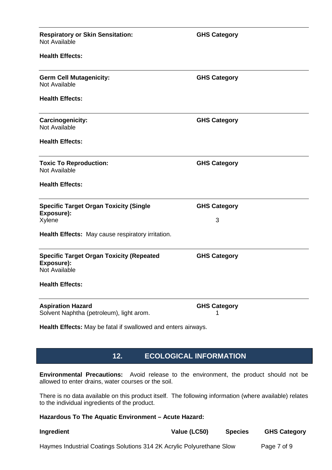| <b>Respiratory or Skin Sensitation:</b><br>Not Available                       | <b>GHS Category</b>      |
|--------------------------------------------------------------------------------|--------------------------|
| <b>Health Effects:</b>                                                         |                          |
| <b>Germ Cell Mutagenicity:</b><br>Not Available                                | <b>GHS Category</b>      |
| <b>Health Effects:</b>                                                         |                          |
| Carcinogenicity:<br>Not Available                                              | <b>GHS Category</b>      |
| <b>Health Effects:</b>                                                         |                          |
| <b>Toxic To Reproduction:</b><br>Not Available                                 | <b>GHS Category</b>      |
| <b>Health Effects:</b>                                                         |                          |
| <b>Specific Target Organ Toxicity (Single</b><br>Exposure):<br>Xylene          | <b>GHS Category</b><br>3 |
| Health Effects: May cause respiratory irritation.                              |                          |
| <b>Specific Target Organ Toxicity (Repeated</b><br>Exposure):<br>Not Available | <b>GHS Category</b>      |
| <b>Health Effects:</b>                                                         |                          |
| <b>Aspiration Hazard</b><br>Solvent Naphtha (petroleum), light arom.           | <b>GHS Category</b>      |

**Health Effects:** May be fatal if swallowed and enters airways.

## **12. ECOLOGICAL INFORMATION**

**Environmental Precautions:** Avoid release to the environment, the product should not be allowed to enter drains, water courses or the soil.

There is no data available on this product itself. The following information (where available) relates to the individual ingredients of the product.

#### **Hazardous To The Aquatic Environment – Acute Hazard:**

| <b>GHS Category</b><br>Ingredient<br>Value (LC50)<br><b>Species</b> |
|---------------------------------------------------------------------|
|---------------------------------------------------------------------|

Haymes Industrial Coatings Solutions 314 2K Acrylic Polyurethane Slow Page 7 of 9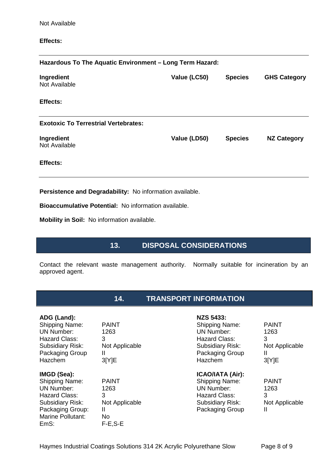**Effects:**

| Hazardous To The Aquatic Environment - Long Term Hazard: |              |                |                     |
|----------------------------------------------------------|--------------|----------------|---------------------|
| Ingredient<br>Not Available                              | Value (LC50) | <b>Species</b> | <b>GHS Category</b> |
| Effects:                                                 |              |                |                     |
| <b>Exotoxic To Terrestrial Vertebrates:</b>              |              |                |                     |
| Ingredient<br>Not Available                              | Value (LD50) | <b>Species</b> | <b>NZ Category</b>  |
| <b>Effects:</b>                                          |              |                |                     |

**Persistence and Degradability:** No information available.

**Bioaccumulative Potential:** No information available.

**Mobility in Soil:** No information available.

#### **13. DISPOSAL CONSIDERATIONS**

Contact the relevant waste management authority. Normally suitable for incineration by an approved agent.

|                                                                                                                                                                      | 14.                                                                     | <b>TRANSPORT INFORMATION</b>                                                                                                                                                                          |
|----------------------------------------------------------------------------------------------------------------------------------------------------------------------|-------------------------------------------------------------------------|-------------------------------------------------------------------------------------------------------------------------------------------------------------------------------------------------------|
| ADG (Land):<br><b>Shipping Name:</b><br><b>UN Number:</b><br>Hazard Class:<br><b>Subsidiary Risk:</b><br>Packaging Group<br>Hazchem                                  | <b>PAINT</b><br>1263<br>3<br>Not Applicable<br>Ш<br>3[Y]E               | <b>NZS 5433:</b><br><b>Shipping Name:</b><br><b>PAINT</b><br><b>UN Number:</b><br>1263<br>3<br>Hazard Class:<br><b>Subsidiary Risk:</b><br>Not Applicable<br>Packaging Group<br>Ш<br>Hazchem<br>3[Y]E |
| IMGD (Sea):<br><b>Shipping Name:</b><br><b>UN Number:</b><br><b>Hazard Class:</b><br><b>Subsidiary Risk:</b><br>Packaging Group:<br><b>Marine Pollutant:</b><br>EmS: | <b>PAINT</b><br>1263<br>3<br>Not Applicable<br>Ш<br>No<br>$F-E$ , $S-E$ | <b>ICAO/IATA (Air):</b><br><b>Shipping Name:</b><br><b>PAINT</b><br><b>UN Number:</b><br>1263<br>3<br>Hazard Class:<br><b>Subsidiary Risk:</b><br>Not Applicable<br>Packaging Group<br>Ш              |